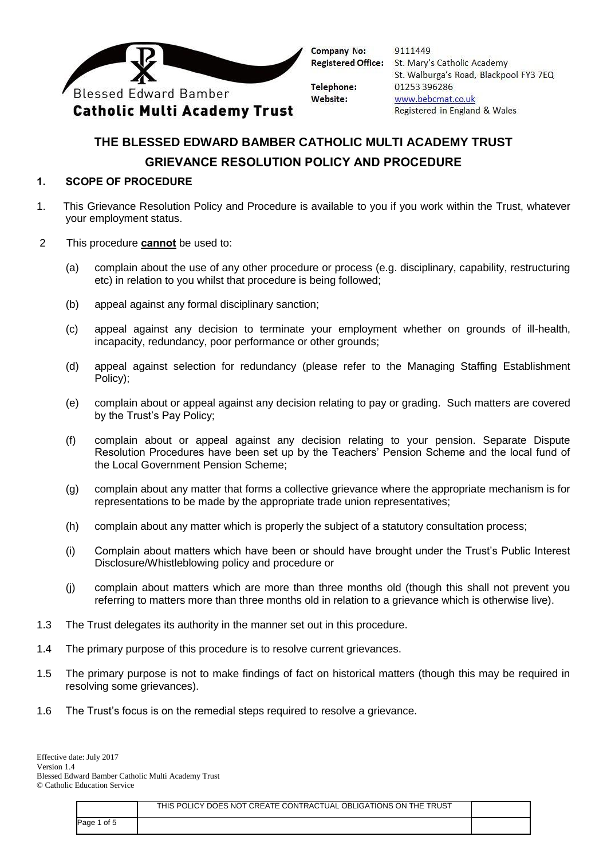

**Telephone:** Website:

9111449 St. Mary's Catholic Academy St. Walburga's Road, Blackpool FY3 7EQ 01253396286 www.bebcmat.co.uk Registered in England & Wales

# **THE BLESSED EDWARD BAMBER CATHOLIC MULTI ACADEMY TRUST GRIEVANCE RESOLUTION POLICY AND PROCEDURE**

### **1. SCOPE OF PROCEDURE**

- 1. This Grievance Resolution Policy and Procedure is available to you if you work within the Trust, whatever your employment status.
- 2 This procedure **cannot** be used to:
	- (a) complain about the use of any other procedure or process (e.g. disciplinary, capability, restructuring etc) in relation to you whilst that procedure is being followed;
	- (b) appeal against any formal disciplinary sanction;
	- (c) appeal against any decision to terminate your employment whether on grounds of ill-health, incapacity, redundancy, poor performance or other grounds;
	- (d) appeal against selection for redundancy (please refer to the Managing Staffing Establishment Policy);
	- (e) complain about or appeal against any decision relating to pay or grading. Such matters are covered by the Trust's Pay Policy;
	- (f) complain about or appeal against any decision relating to your pension. Separate Dispute Resolution Procedures have been set up by the Teachers' Pension Scheme and the local fund of the Local Government Pension Scheme;
	- (g) complain about any matter that forms a collective grievance where the appropriate mechanism is for representations to be made by the appropriate trade union representatives;
	- (h) complain about any matter which is properly the subject of a statutory consultation process;
	- (i) Complain about matters which have been or should have brought under the Trust's Public Interest Disclosure/Whistleblowing policy and procedure or
	- (j) complain about matters which are more than three months old (though this shall not prevent you referring to matters more than three months old in relation to a grievance which is otherwise live).
- 1.3 The Trust delegates its authority in the manner set out in this procedure.
- 1.4 The primary purpose of this procedure is to resolve current grievances.
- 1.5 The primary purpose is not to make findings of fact on historical matters (though this may be required in resolving some grievances).
- 1.6 The Trust's focus is on the remedial steps required to resolve a grievance.

|             | THIS POLICY DOES NOT CREATE CONTRACTUAL OBLIGATIONS ON THE TRUST |  |
|-------------|------------------------------------------------------------------|--|
| Page 1 of 5 |                                                                  |  |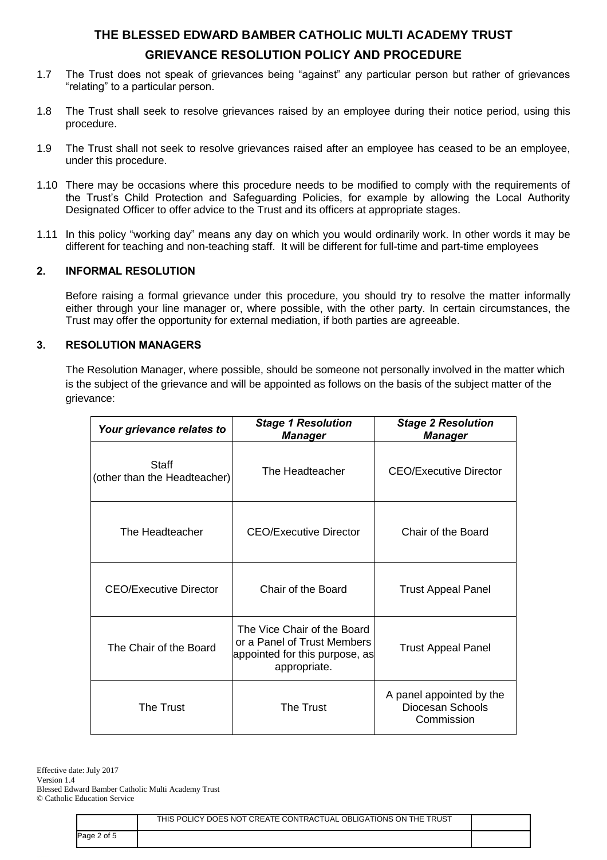- 1.7 The Trust does not speak of grievances being "against" any particular person but rather of grievances "relating" to a particular person.
- 1.8 The Trust shall seek to resolve grievances raised by an employee during their notice period, using this procedure.
- 1.9 The Trust shall not seek to resolve grievances raised after an employee has ceased to be an employee, under this procedure.
- 1.10 There may be occasions where this procedure needs to be modified to comply with the requirements of the Trust's Child Protection and Safeguarding Policies, for example by allowing the Local Authority Designated Officer to offer advice to the Trust and its officers at appropriate stages.
- 1.11 In this policy "working day" means any day on which you would ordinarily work. In other words it may be different for teaching and non-teaching staff. It will be different for full-time and part-time employees

#### **2. INFORMAL RESOLUTION**

Before raising a formal grievance under this procedure, you should try to resolve the matter informally either through your line manager or, where possible, with the other party. In certain circumstances, the Trust may offer the opportunity for external mediation, if both parties are agreeable.

### **3. RESOLUTION MANAGERS**

The Resolution Manager, where possible, should be someone not personally involved in the matter which is the subject of the grievance and will be appointed as follows on the basis of the subject matter of the grievance:

| Your grievance relates to             | <b>Stage 1 Resolution</b><br><b>Manager</b>                                                                  | <b>Stage 2 Resolution</b><br><b>Manager</b>                |
|---------------------------------------|--------------------------------------------------------------------------------------------------------------|------------------------------------------------------------|
| Staff<br>(other than the Headteacher) | The Headteacher                                                                                              | CEO/Executive Director                                     |
| The Headteacher                       | CEO/Executive Director                                                                                       | Chair of the Board                                         |
| <b>CEO/Executive Director</b>         | Chair of the Board                                                                                           | <b>Trust Appeal Panel</b>                                  |
| The Chair of the Board                | The Vice Chair of the Board<br>or a Panel of Trust Members<br>appointed for this purpose, as<br>appropriate. | <b>Trust Appeal Panel</b>                                  |
| The Trust                             | <b>The Trust</b>                                                                                             | A panel appointed by the<br>Diocesan Schools<br>Commission |

Effective date: July 2017 Version 1.4 Blessed Edward Bamber Catholic Multi Academy Trust © Catholic Education Service

|             | THIS POLICY DOES NOT CREATE CONTRACTUAL OBLIGATIONS ON THE TRUST |  |
|-------------|------------------------------------------------------------------|--|
| Page 2 of 5 |                                                                  |  |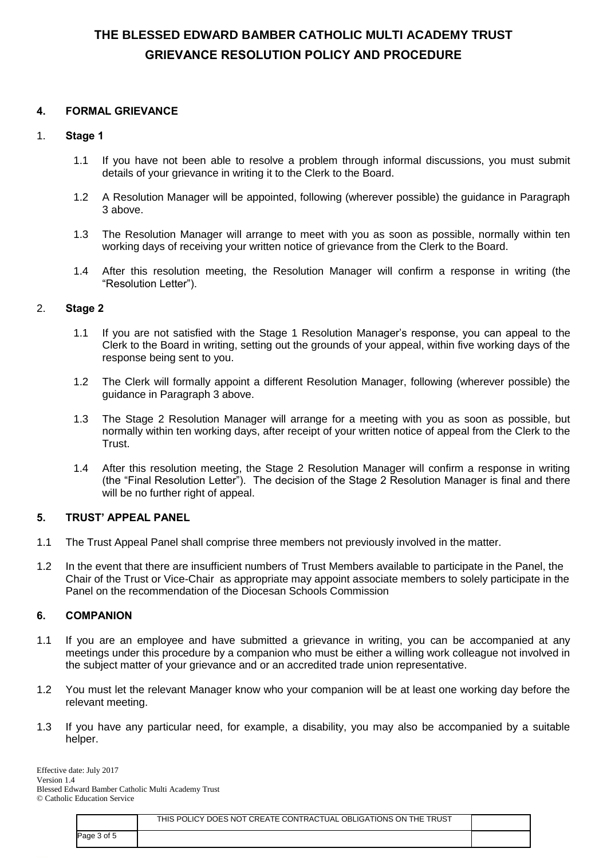#### **4. FORMAL GRIEVANCE**

#### 1. **Stage 1**

- 1.1 If you have not been able to resolve a problem through informal discussions, you must submit details of your grievance in writing it to the Clerk to the Board.
- 1.2 A Resolution Manager will be appointed, following (wherever possible) the guidance in Paragraph 3 above.
- 1.3 The Resolution Manager will arrange to meet with you as soon as possible, normally within ten working days of receiving your written notice of grievance from the Clerk to the Board.
- 1.4 After this resolution meeting, the Resolution Manager will confirm a response in writing (the "Resolution Letter").

### 2. **Stage 2**

- 1.1 If you are not satisfied with the Stage 1 Resolution Manager's response, you can appeal to the Clerk to the Board in writing, setting out the grounds of your appeal, within five working days of the response being sent to you.
- 1.2 The Clerk will formally appoint a different Resolution Manager, following (wherever possible) the guidance in Paragraph 3 above.
- 1.3 The Stage 2 Resolution Manager will arrange for a meeting with you as soon as possible, but normally within ten working days, after receipt of your written notice of appeal from the Clerk to the Trust.
- 1.4 After this resolution meeting, the Stage 2 Resolution Manager will confirm a response in writing (the "Final Resolution Letter"). The decision of the Stage 2 Resolution Manager is final and there will be no further right of appeal.

#### **5. TRUST' APPEAL PANEL**

- 1.1 The Trust Appeal Panel shall comprise three members not previously involved in the matter.
- 1.2 In the event that there are insufficient numbers of Trust Members available to participate in the Panel, the Chair of the Trust or Vice-Chair as appropriate may appoint associate members to solely participate in the Panel on the recommendation of the Diocesan Schools Commission

#### **6. COMPANION**

- 1.1 If you are an employee and have submitted a grievance in writing, you can be accompanied at any meetings under this procedure by a companion who must be either a willing work colleague not involved in the subject matter of your grievance and or an accredited trade union representative.
- 1.2 You must let the relevant Manager know who your companion will be at least one working day before the relevant meeting.
- 1.3 If you have any particular need, for example, a disability, you may also be accompanied by a suitable helper.

Effective date: July 2017 Version 1.4 Blessed Edward Bamber Catholic Multi Academy Trust © Catholic Education Service

|             | THIS POLICY DOES NOT CREATE CONTRACTUAL OBLIGATIONS ON THE TRUST |  |
|-------------|------------------------------------------------------------------|--|
| Page 3 of 5 |                                                                  |  |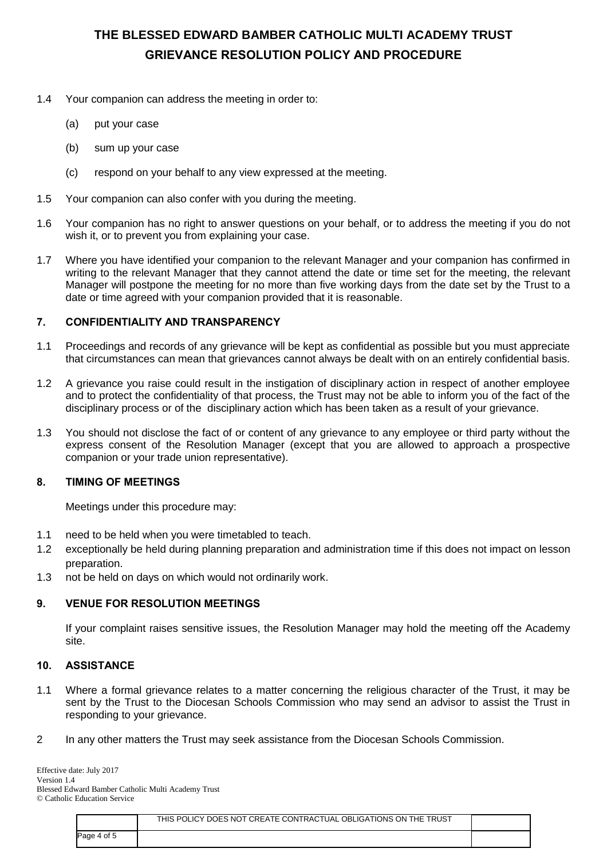- 1.4 Your companion can address the meeting in order to:
	- (a) put your case
	- (b) sum up your case
	- (c) respond on your behalf to any view expressed at the meeting.
- 1.5 Your companion can also confer with you during the meeting.
- 1.6 Your companion has no right to answer questions on your behalf, or to address the meeting if you do not wish it, or to prevent you from explaining your case.
- 1.7 Where you have identified your companion to the relevant Manager and your companion has confirmed in writing to the relevant Manager that they cannot attend the date or time set for the meeting, the relevant Manager will postpone the meeting for no more than five working days from the date set by the Trust to a date or time agreed with your companion provided that it is reasonable.

## **7. CONFIDENTIALITY AND TRANSPARENCY**

- 1.1 Proceedings and records of any grievance will be kept as confidential as possible but you must appreciate that circumstances can mean that grievances cannot always be dealt with on an entirely confidential basis.
- 1.2 A grievance you raise could result in the instigation of disciplinary action in respect of another employee and to protect the confidentiality of that process, the Trust may not be able to inform you of the fact of the disciplinary process or of the disciplinary action which has been taken as a result of your grievance.
- 1.3 You should not disclose the fact of or content of any grievance to any employee or third party without the express consent of the Resolution Manager (except that you are allowed to approach a prospective companion or your trade union representative).

#### **8. TIMING OF MEETINGS**

Meetings under this procedure may:

- 1.1 need to be held when you were timetabled to teach.
- 1.2 exceptionally be held during planning preparation and administration time if this does not impact on lesson preparation.
- 1.3 not be held on days on which would not ordinarily work.

## **9. VENUE FOR RESOLUTION MEETINGS**

If your complaint raises sensitive issues, the Resolution Manager may hold the meeting off the Academy site.

#### **10. ASSISTANCE**

- 1.1 Where a formal grievance relates to a matter concerning the religious character of the Trust, it may be sent by the Trust to the Diocesan Schools Commission who may send an advisor to assist the Trust in responding to your grievance.
- 2 In any other matters the Trust may seek assistance from the Diocesan Schools Commission.

Effective date: July 2017 Version 1.4 Blessed Edward Bamber Catholic Multi Academy Trust © Catholic Education Service

|             | THIS POLICY DOES NOT CREATE CONTRACTUAL OBLIGATIONS ON THE TRUST |  |
|-------------|------------------------------------------------------------------|--|
| Page 4 of 5 |                                                                  |  |